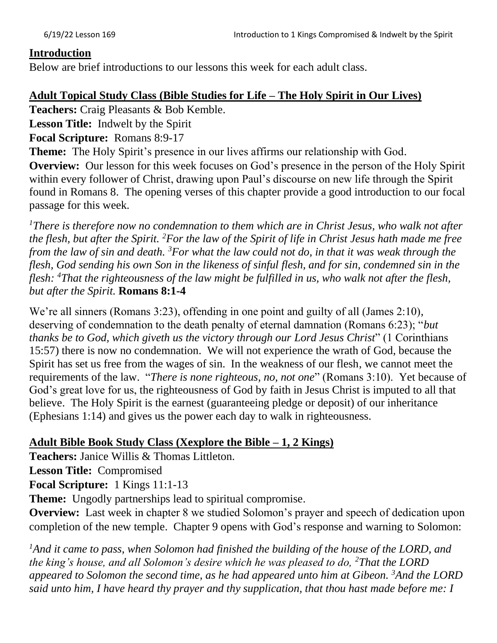#### **Introduction**

Below are brief introductions to our lessons this week for each adult class.

### **Adult Topical Study Class (Bible Studies for Life – The Holy Spirit in Our Lives)**

**Teachers:** Craig Pleasants & Bob Kemble.

**Lesson Title:** Indwelt by the Spirit

**Focal Scripture:** Romans 8:9-17

**Theme:** The Holy Spirit's presence in our lives affirms our relationship with God.

**Overview:** Our lesson for this week focuses on God's presence in the person of the Holy Spirit within every follower of Christ, drawing upon Paul's discourse on new life through the Spirit found in Romans 8. The opening verses of this chapter provide a good introduction to our focal passage for this week.

*<sup>1</sup>There is therefore now no condemnation to them which are in Christ Jesus, who walk not after the flesh, but after the Spirit. <sup>2</sup>For the law of the Spirit of life in Christ Jesus hath made me free from the law of sin and death. <sup>3</sup>For what the law could not do, in that it was weak through the flesh, God sending his own Son in the likeness of sinful flesh, and for sin, condemned sin in the flesh: <sup>4</sup>That the righteousness of the law might be fulfilled in us, who walk not after the flesh, but after the Spirit.* **Romans 8:1-4**

We're all sinners (Romans 3:23), offending in one point and guilty of all (James 2:10), deserving of condemnation to the death penalty of eternal damnation (Romans 6:23); "*but thanks be to God, which giveth us the victory through our Lord Jesus Christ*" (1 Corinthians 15:57) there is now no condemnation. We will not experience the wrath of God, because the Spirit has set us free from the wages of sin. In the weakness of our flesh, we cannot meet the requirements of the law. "*There is none righteous, no, not one*" (Romans 3:10). Yet because of God's great love for us, the righteousness of God by faith in Jesus Christ is imputed to all that believe. The Holy Spirit is the earnest (guaranteeing pledge or deposit) of our inheritance (Ephesians 1:14) and gives us the power each day to walk in righteousness.

### **Adult Bible Book Study Class (Xexplore the Bible – 1, 2 Kings)**

**Teachers:** Janice Willis & Thomas Littleton.

**Lesson Title:** Compromised

**Focal Scripture:** 1 Kings 11:1-13

**Theme:** Ungodly partnerships lead to spiritual compromise.

**Overview:** Last week in chapter 8 we studied Solomon's prayer and speech of dedication upon completion of the new temple. Chapter 9 opens with God's response and warning to Solomon:

<sup>1</sup>And it came to pass, when Solomon had finished the building of the house of the LORD, and *the king's house, and all Solomon's desire which he was pleased to do, <sup>2</sup>That the LORD appeared to Solomon the second time, as he had appeared unto him at Gibeon. <sup>3</sup>And the LORD said unto him, I have heard thy prayer and thy supplication, that thou hast made before me: I*